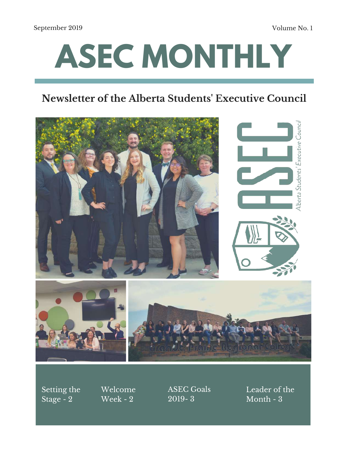# **ASEC MONTHLY**

## **Newsletter of the Alberta Students ' Executive Council**



Setting the Stage - 2

Welcome Week - 2

ASEC Goals 2019- 3

Leader of the Month - 3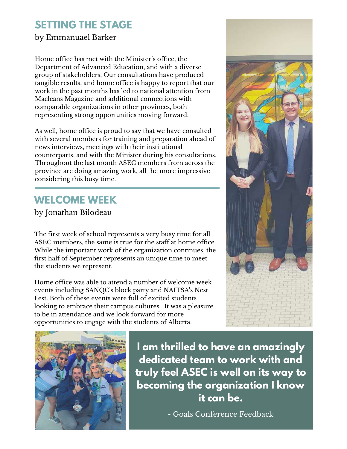#### **SETTING THE STAGE**

by Emmanuael Barker

Home office has met with the Minister's office, the Department of Advanced Education, and with a diverse group of stakeholders. Our consultations have produced tangible results, and home office is happy to report that our work in the past months has led to national attention from Macleans Magazine and additional connections with comparable organizations in other provinces, both representing strong opportunities moving forward.

As well, home office is proud to say that we have consulted with several members for training and preparation ahead of news interviews, meetings with their institutional counterparts, and with the Minister during his consultations. Throughout the last month ASEC members from across the province are doing amazing work, all the more impressive considering this busy time.

## **WELCOME WEEK**

by Jonathan Bilodeau

The first week of school represents a very busy time for all ASEC members, the same is true for the staff at home office. While the important work of the organization continues, the first half of September represents an unique time to meet the students we represent.

Home office was able to attend a number of welcome week events including SANQC's block party and NAITSA's Nest Fest. Both of these events were full of excited students looking to embrace their campus cultures. It was a pleasure to be in attendance and we look forward for more opportunities to engage with the students of Alberta.





**I am thrilled to have an amazingly dedicated team to work with and truly feel ASEC is well on its way to becoming the organization I know it can be.**

- Goals Conference Feedback